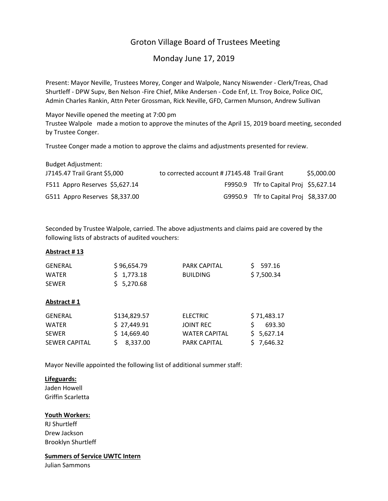# Groton Village Board of Trustees Meeting

Monday June 17, 2019

Present: Mayor Neville, Trustees Morey, Conger and Walpole, Nancy Niswender ‐ Clerk/Treas, Chad Shurtleff ‐ DPW Supv, Ben Nelson ‐Fire Chief, Mike Andersen ‐ Code Enf, Lt. Troy Boice, Police OIC, Admin Charles Rankin, Attn Peter Grossman, Rick Neville, GFD, Carmen Munson, Andrew Sullivan

Mayor Neville opened the meeting at 7:00 pm Trustee Walpole made a motion to approve the minutes of the April 15, 2019 board meeting, seconded by Trustee Conger.

Trustee Conger made a motion to approve the claims and adjustments presented for review.

| <b>Budget Adjustment:</b>      |                                             |                                        |            |
|--------------------------------|---------------------------------------------|----------------------------------------|------------|
| J7145.47 Trail Grant \$5,000   | to corrected account # J7145.48 Trail Grant |                                        | \$5,000.00 |
| F511 Appro Reserves \$5,627.14 |                                             | F9950.9 Tfr to Capital Proj \$5,627.14 |            |
| G511 Appro Reserves \$8,337.00 |                                             | G9950.9 Tfr to Capital Proj \$8,337.00 |            |

Seconded by Trustee Walpole, carried. The above adjustments and claims paid are covered by the following lists of abstracts of audited vouchers:

## **Abstract # 13**

| GENERAL      | \$96,654.79 | PARK CAPITAL    | S 597.16    |
|--------------|-------------|-----------------|-------------|
| <b>WATFR</b> | \$1,773.18  | <b>BUILDING</b> | \$ 7,500.34 |
| <b>SEWER</b> | \$5,270.68  |                 |             |

## **Abstract # 1**

| GENERAL              | \$134,829.57 | <b>ELECTRIC</b>      | \$71,483.17 |
|----------------------|--------------|----------------------|-------------|
| <b>WATFR</b>         | \$27,449.91  | JOINT REC            | 693.30      |
| <b>SFWFR</b>         | \$14,669.40  | <b>WATER CAPITAL</b> | S 5.627.14  |
| <b>SEWER CAPITAL</b> | \$8,337.00   | <b>PARK CAPITAL</b>  | \$7,646.32  |

Mayor Neville appointed the following list of additional summer staff:

## **Lifeguards:**

Jaden Howell Griffin Scarletta

## **Youth Workers:**

RJ Shurtleff Drew Jackson Brooklyn Shurtleff

**Summers of Service UWTC Intern** Julian Sammons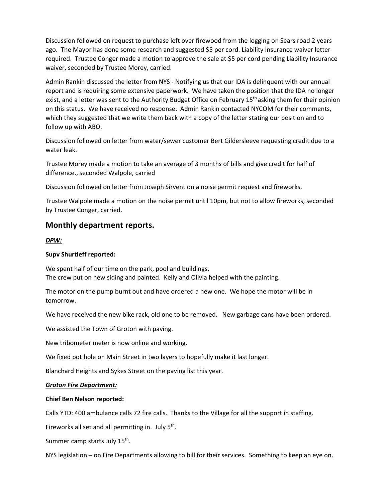Discussion followed on request to purchase left over firewood from the logging on Sears road 2 years ago. The Mayor has done some research and suggested \$5 per cord. Liability Insurance waiver letter required. Trustee Conger made a motion to approve the sale at \$5 per cord pending Liability Insurance waiver, seconded by Trustee Morey, carried.

Admin Rankin discussed the letter from NYS ‐ Notifying us that our IDA is delinquent with our annual report and is requiring some extensive paperwork. We have taken the position that the IDA no longer exist, and a letter was sent to the Authority Budget Office on February 15<sup>th</sup> asking them for their opinion on this status. We have received no response. Admin Rankin contacted NYCOM for their comments, which they suggested that we write them back with a copy of the letter stating our position and to follow up with ABO.

Discussion followed on letter from water/sewer customer Bert Gildersleeve requesting credit due to a water leak.

Trustee Morey made a motion to take an average of 3 months of bills and give credit for half of difference., seconded Walpole, carried

Discussion followed on letter from Joseph Sirvent on a noise permit request and fireworks.

Trustee Walpole made a motion on the noise permit until 10pm, but not to allow fireworks, seconded by Trustee Conger, carried.

# **Monthly department reports.**

#### *DPW:*

#### **Supv Shurtleff reported:**

We spent half of our time on the park, pool and buildings. The crew put on new siding and painted. Kelly and Olivia helped with the painting.

The motor on the pump burnt out and have ordered a new one. We hope the motor will be in tomorrow.

We have received the new bike rack, old one to be removed. New garbage cans have been ordered.

We assisted the Town of Groton with paving.

New tribometer meter is now online and working.

We fixed pot hole on Main Street in two layers to hopefully make it last longer.

Blanchard Heights and Sykes Street on the paving list this year.

#### *Groton Fire Department:*

#### **Chief Ben Nelson reported:**

Calls YTD: 400 ambulance calls 72 fire calls. Thanks to the Village for all the support in staffing.

Fireworks all set and all permitting in. July  $5<sup>th</sup>$ .

Summer camp starts July 15<sup>th</sup>.

NYS legislation – on Fire Departments allowing to bill for their services. Something to keep an eye on.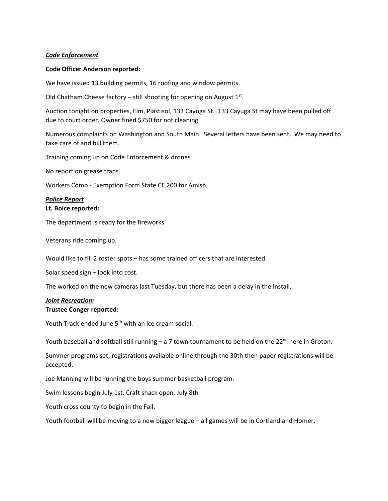#### *Code Enforcement*

#### **Code Officer Anderson reported:**

We have issued 13 building permits, 16 roofing and window permits.

Old Chatham Cheese factory – still shooting for opening on August  $1<sup>st</sup>$ .

Auction tonight on properties, Elm, Plastisol, 133 Cayuga St. 133 Cayuga St may have been pulled off due to court order. Owner fined \$750 for not cleaning.

Numerous complaints on Washington and South Main. Several letters have been sent. We may need to take care of and bill them.

Training coming up on Code Enforcement & drones

No report on grease traps.

Workers Comp ‐ Exemption Form State CE 200 for Amish.

# *Police Report*

#### **Lt. Boice reported:**

The department is ready for the fireworks.

Veterans ride coming up.

Would like to fill 2 roster spots – has some trained officers that are interested.

Solar speed sign – look into cost.

The worked on the new cameras last Tuesday, but there has been a delay in the install.

# *Joint Recreation:*

## **Trustee Conger reported:**

Youth Track ended June 5<sup>th</sup> with an ice cream social.

Youth baseball and softball still running - a 7 town tournament to be held on the  $22^{nd}$  here in Groton.

Summer programs set; registrations available online through the 30th then paper registrations will be accepted.

Joe Manning will be running the boys summer basketball program.

Swim lessons begin July 1st. Craft shack open. July 8th

Youth cross county to begin in the Fall.

Youth football will be moving to a new bigger league – all games will be in Cortland and Homer.